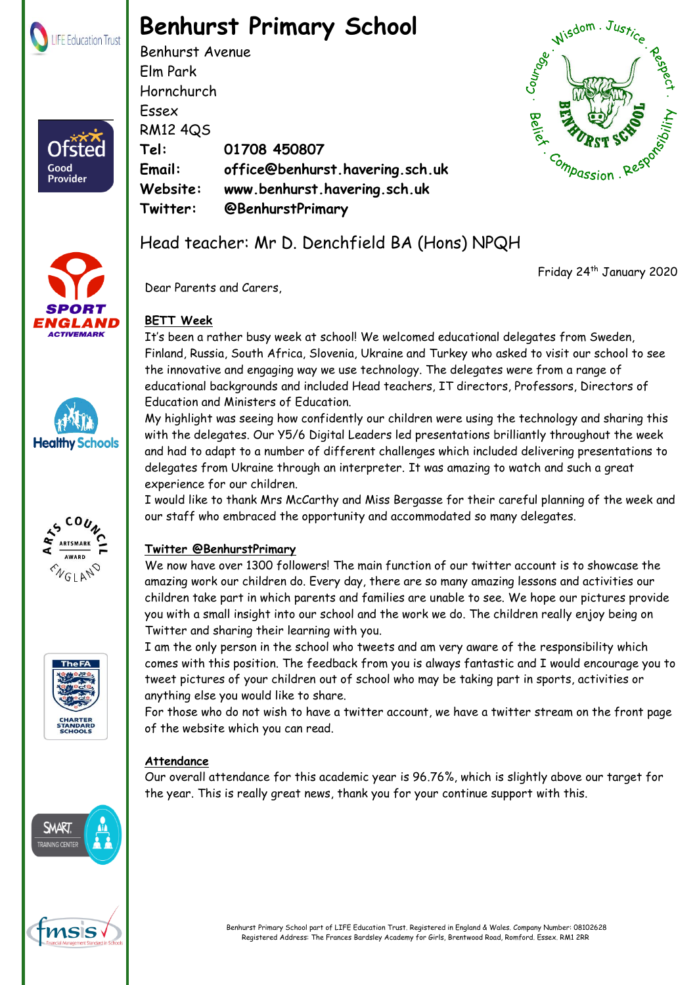

# **Benhurst Primary School**

Benhurst Avenue Elm Park Hornchurch Essex RM12 4QS **Tel: 01708 450807 Email: office@benhurst.havering.sch.uk Website: www.benhurst.havering.sch.uk Twitter: @BenhurstPrimary**





Good Provider









Friday 24th January 2020

Dear Parents and Carers,

## **BETT Week**

It's been a rather busy week at school! We welcomed educational delegates from Sweden, Finland, Russia, South Africa, Slovenia, Ukraine and Turkey who asked to visit our school to see the innovative and engaging way we use technology. The delegates were from a range of educational backgrounds and included Head teachers, IT directors, Professors, Directors of Education and Ministers of Education.

My highlight was seeing how confidently our children were using the technology and sharing this with the delegates. Our Y5/6 Digital Leaders led presentations brilliantly throughout the week and had to adapt to a number of different challenges which included delivering presentations to delegates from Ukraine through an interpreter. It was amazing to watch and such a great experience for our children.

I would like to thank Mrs McCarthy and Miss Bergasse for their careful planning of the week and our staff who embraced the opportunity and accommodated so many delegates.

## **Twitter @BenhurstPrimary**

We now have over 1300 followers! The main function of our twitter account is to showcase the amazing work our children do. Every day, there are so many amazing lessons and activities our children take part in which parents and families are unable to see. We hope our pictures provide you with a small insight into our school and the work we do. The children really enjoy being on Twitter and sharing their learning with you.

I am the only person in the school who tweets and am very aware of the responsibility which comes with this position. The feedback from you is always fantastic and I would encourage you to tweet pictures of your children out of school who may be taking part in sports, activities or anything else you would like to share.

For those who do not wish to have a twitter account, we have a twitter stream on the front page of the website which you can read.

## **Attendance**

Our overall attendance for this academic year is 96.76%, which is slightly above our target for the year. This is really great news, thank you for your continue support with this.